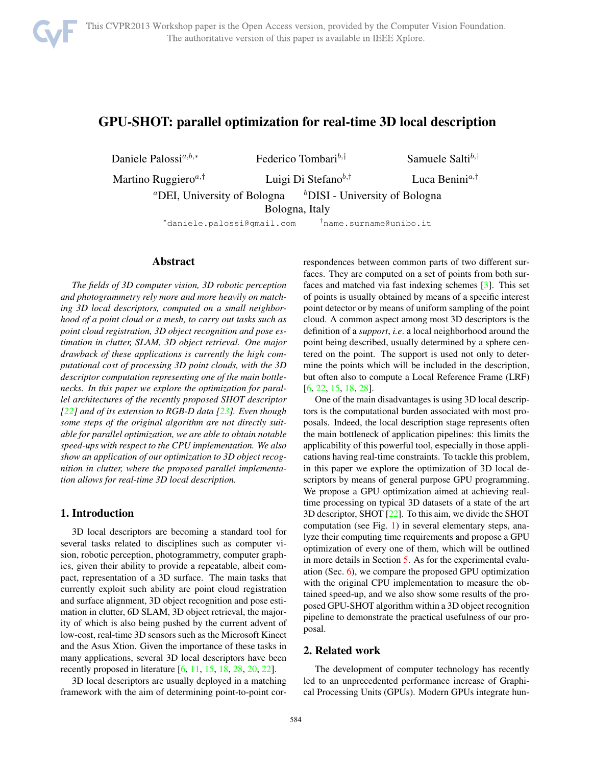

# GPU-SHOT: parallel optimization for real-time 3D local description

Daniele Palossi<sup>a,b,∗</sup> Federico Tombari<sup>b,†</sup> Samuele Salti<sup>b,†</sup>

Martino Ruggiero<sup>a,†</sup> Luigi Di Stefano<sup>b,†</sup> Luca Benini<sup>a,†</sup> <sup>a</sup>DEI, University of Bologna  ${}^b$ DISI - University of Bologna

Bologna, Italy

<sup>∗</sup>daniele.palossi@gmail.com †name.surname@unibo.it

#### Abstract

*The fields of 3D computer vision, 3D robotic perception and photogrammetry rely more and more heavily on matching 3D local descriptors, computed on a small neighborhood of a point cloud or a mesh, to carry out tasks such as point cloud registration, 3D object recognition and pose estimation in clutter, SLAM, 3D object retrieval. One major drawback of these applications is currently the high computational cost of processing 3D point clouds, with the 3D descriptor computation representing one of the main bottlenecks. In this paper we explore the optimization for parallel architectures of the recently proposed SHOT descriptor [22] and of its extension to RGB-D data [23]. Even though some steps of the original algorithm are not directly suitable for parallel optimization, we are able to obtain notable speed-ups with respect to the CPU implementation. We also show an application of our optimization to 3D object recognition in clutter, where the proposed parallel implementation allows for real-time 3D local description.*

# 1. Introduction

3D local descriptors are becoming a standard tool for several tasks related to disciplines such as computer vision, robotic perception, photogrammetry, computer graphics, given their ability to provide a repeatable, albeit compact, representation of a 3D surface. The main tasks that currently exploit such ability are point cloud registration and surface alignment, 3D object recognition and pose estimation in clutter, 6D SLAM, 3D object retrieval, the majority of which is also being pushed by the current advent of low-cost, real-time 3D sensors such as the Microsoft Kinect and the Asus Xtion. Given the importance of these tasks in many applications, several 3D local descriptors have been recently proposed in literature [6, 11, 15, 18, 28, 20, 22].

3D local descriptors are usually deployed in a matching framework with the aim of determining point-to-point correspondences between common parts of two different surfaces. They are computed on a set of points from both surfaces and matched via fast indexing schemes [3]. This set of points is usually obtained by means of a specific interest point detector or by means of uniform sampling of the point cloud. A common aspect among most 3D descriptors is the definition of a *support*, *i.e*. a local neighborhood around the point being described, usually determined by a sphere centered on the point. The support is used not only to determine the points which will be included in the description, but often also to compute a Local Reference Frame (LRF) [6, 22, 15, 18, 28].

One of the main disadvantages is using 3D local descriptors is the computational burden associated with most proposals. Indeed, the local description stage represents often the main bottleneck of application pipelines: this limits the applicability of this powerful tool, especially in those applications having real-time constraints. To tackle this problem, in this paper we explore the optimization of 3D local descriptors by means of general purpose GPU programming. We propose a GPU optimization aimed at achieving realtime processing on typical 3D datasets of a state of the art 3D descriptor, SHOT [22]. To this aim, we divide the SHOT computation (see Fig. 1) in several elementary steps, analyze their computing time requirements and propose a GPU optimization of every one of them, which will be outlined in more details in Section 5. As for the experimental evaluation (Sec. 6), we compare the proposed GPU optimization with the original CPU implementation to measure the obtained speed-up, and we also show some results of the proposed GPU-SHOT algorithm within a 3D object recognition pipeline to demonstrate the practical usefulness of our proposal.

### 2. Related work

The development of computer technology has recently led to an unprecedented performance increase of Graphical Processing Units (GPUs). Modern GPUs integrate hun-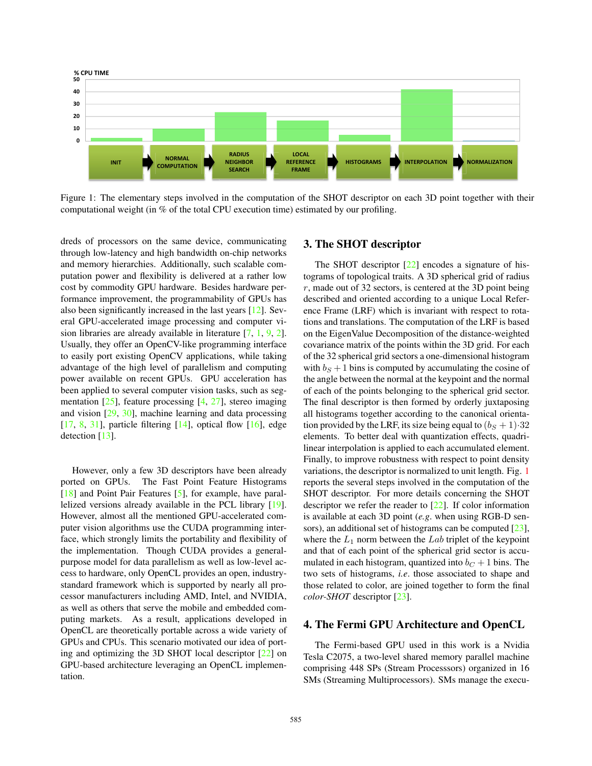

Figure 1: The elementary steps involved in the computation of the SHOT descriptor on each 3D point together with their computational weight (in % of the total CPU execution time) estimated by our profiling.

dreds of processors on the same device, communicating through low-latency and high bandwidth on-chip networks and memory hierarchies. Additionally, such scalable computation power and flexibility is delivered at a rather low cost by commodity GPU hardware. Besides hardware performance improvement, the programmability of GPUs has also been significantly increased in the last years [12]. Several GPU-accelerated image processing and computer vision libraries are already available in literature [7, 1, 9, 2]. Usually, they offer an OpenCV-like programming interface to easily port existing OpenCV applications, while taking advantage of the high level of parallelism and computing power available on recent GPUs. GPU acceleration has been applied to several computer vision tasks, such as segmentation  $[25]$ , feature processing  $[4, 27]$ , stereo imaging and vision [29, 30], machine learning and data processing  $[17, 8, 31]$ , particle filtering  $[14]$ , optical flow  $[16]$ , edge detection [13].

However, only a few 3D descriptors have been already ported on GPUs. The Fast Point Feature Histograms [18] and Point Pair Features [5], for example, have parallelized versions already available in the PCL library [19]. However, almost all the mentioned GPU-accelerated computer vision algorithms use the CUDA programming interface, which strongly limits the portability and flexibility of the implementation. Though CUDA provides a generalpurpose model for data parallelism as well as low-level access to hardware, only OpenCL provides an open, industrystandard framework which is supported by nearly all processor manufacturers including AMD, Intel, and NVIDIA, as well as others that serve the mobile and embedded computing markets. As a result, applications developed in OpenCL are theoretically portable across a wide variety of GPUs and CPUs. This scenario motivated our idea of porting and optimizing the 3D SHOT local descriptor [22] on GPU-based architecture leveraging an OpenCL implementation.

# 3. The SHOT descriptor

The SHOT descriptor  $[22]$  encodes a signature of histograms of topological traits. A 3D spherical grid of radius  $r$ , made out of 32 sectors, is centered at the 3D point being described and oriented according to a unique Local Reference Frame (LRF) which is invariant with respect to rotations and translations. The computation of the LRF is based on the EigenValue Decomposition of the distance-weighted covariance matrix of the points within the 3D grid. For each of the 32 spherical grid sectors a one-dimensional histogram with  $b<sub>S</sub> + 1$  bins is computed by accumulating the cosine of the angle between the normal at the keypoint and the normal of each of the points belonging to the spherical grid sector. The final descriptor is then formed by orderly juxtaposing all histograms together according to the canonical orientation provided by the LRF, its size being equal to  $(b<sub>S</sub>+1) \cdot 32$ elements. To better deal with quantization effects, quadrilinear interpolation is applied to each accumulated element. Finally, to improve robustness with respect to point density variations, the descriptor is normalized to unit length. Fig. 1 reports the several steps involved in the computation of the SHOT descriptor. For more details concerning the SHOT descriptor we refer the reader to  $[22]$ . If color information is available at each 3D point (*e.g*. when using RGB-D sensors), an additional set of histograms can be computed [23], where the  $L_1$  norm between the  $Lab$  triplet of the keypoint and that of each point of the spherical grid sector is accumulated in each histogram, quantized into  $b<sub>C</sub> + 1$  bins. The two sets of histograms, *i.e*. those associated to shape and those related to color, are joined together to form the final *color-SHOT* descriptor [23].

# 4. The Fermi GPU Architecture and OpenCL

The Fermi-based GPU used in this work is a Nvidia Tesla C2075, a two-level shared memory parallel machine comprising 448 SPs (Stream Processsors) organized in 16 SMs (Streaming Multiprocessors). SMs manage the execu-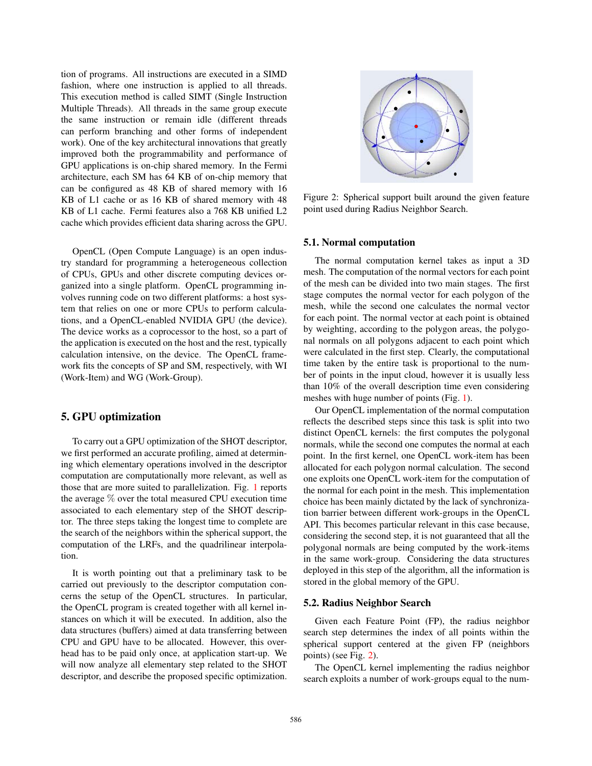tion of programs. All instructions are executed in a SIMD fashion, where one instruction is applied to all threads. This execution method is called SIMT (Single Instruction Multiple Threads). All threads in the same group execute the same instruction or remain idle (different threads can perform branching and other forms of independent work). One of the key architectural innovations that greatly improved both the programmability and performance of GPU applications is on-chip shared memory. In the Fermi architecture, each SM has 64 KB of on-chip memory that can be configured as 48 KB of shared memory with 16 KB of L1 cache or as 16 KB of shared memory with 48 KB of L1 cache. Fermi features also a 768 KB unified L2 cache which provides efficient data sharing across the GPU.

OpenCL (Open Compute Language) is an open industry standard for programming a heterogeneous collection of CPUs, GPUs and other discrete computing devices organized into a single platform. OpenCL programming involves running code on two different platforms: a host system that relies on one or more CPUs to perform calculations, and a OpenCL-enabled NVIDIA GPU (the device). The device works as a coprocessor to the host, so a part of the application is executed on the host and the rest, typically calculation intensive, on the device. The OpenCL framework fits the concepts of SP and SM, respectively, with WI (Work-Item) and WG (Work-Group).

# 5. GPU optimization

To carry out a GPU optimization of the SHOT descriptor, we first performed an accurate profiling, aimed at determining which elementary operations involved in the descriptor computation are computationally more relevant, as well as those that are more suited to parallelization. Fig. 1 reports the average % over the total measured CPU execution time associated to each elementary step of the SHOT descriptor. The three steps taking the longest time to complete are the search of the neighbors within the spherical support, the computation of the LRFs, and the quadrilinear interpolation.

It is worth pointing out that a preliminary task to be carried out previously to the descriptor computation concerns the setup of the OpenCL structures. In particular, the OpenCL program is created together with all kernel instances on which it will be executed. In addition, also the data structures (buffers) aimed at data transferring between CPU and GPU have to be allocated. However, this overhead has to be paid only once, at application start-up. We will now analyze all elementary step related to the SHOT descriptor, and describe the proposed specific optimization.



Figure 2: Spherical support built around the given feature point used during Radius Neighbor Search.

#### 5.1. Normal computation

The normal computation kernel takes as input a 3D mesh. The computation of the normal vectors for each point of the mesh can be divided into two main stages. The first stage computes the normal vector for each polygon of the mesh, while the second one calculates the normal vector for each point. The normal vector at each point is obtained by weighting, according to the polygon areas, the polygonal normals on all polygons adjacent to each point which were calculated in the first step. Clearly, the computational time taken by the entire task is proportional to the number of points in the input cloud, however it is usually less than 10% of the overall description time even considering meshes with huge number of points (Fig. 1).

Our OpenCL implementation of the normal computation reflects the described steps since this task is split into two distinct OpenCL kernels: the first computes the polygonal normals, while the second one computes the normal at each point. In the first kernel, one OpenCL work-item has been allocated for each polygon normal calculation. The second one exploits one OpenCL work-item for the computation of the normal for each point in the mesh. This implementation choice has been mainly dictated by the lack of synchronization barrier between different work-groups in the OpenCL API. This becomes particular relevant in this case because, considering the second step, it is not guaranteed that all the polygonal normals are being computed by the work-items in the same work-group. Considering the data structures deployed in this step of the algorithm, all the information is stored in the global memory of the GPU.

#### 5.2. Radius Neighbor Search

Given each Feature Point (FP), the radius neighbor search step determines the index of all points within the spherical support centered at the given FP (neighbors points) (see Fig. 2).

The OpenCL kernel implementing the radius neighbor search exploits a number of work-groups equal to the num-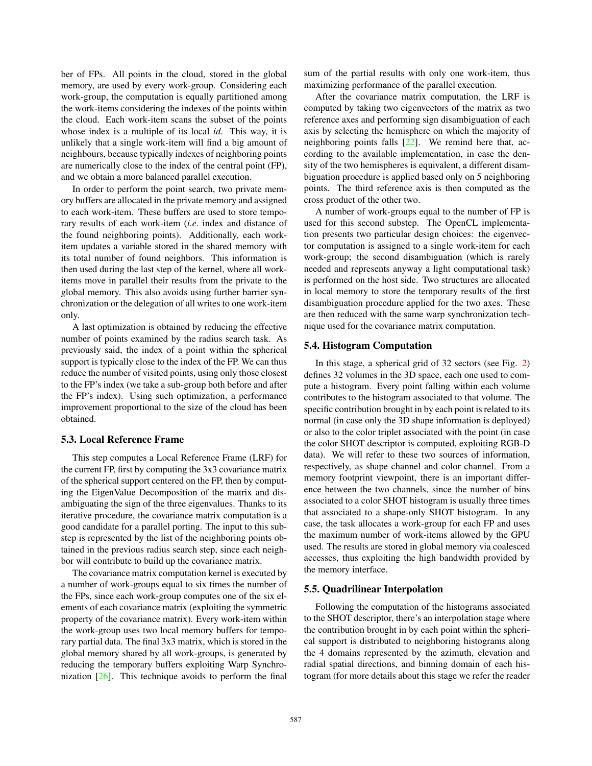ber of FPs. All points in the cloud, stored in the global memory, are used by every work-group. Considering each work-group, the computation is equally partitioned among the work-items considering the indexes of the points within the cloud. Each work-item scans the subset of the points whose index is a multiple of its local *id*. This way, it is unlikely that a single work-item will find a big amount of neighbours, because typically indexes of neighboring points are numerically close to the index of the central point (FP), and we obtain a more balanced parallel execution.

In order to perform the point search, two private memory buffers are allocated in the private memory and assigned to each work-item. These buffers are used to store temporary results of each work-item (*i.e*. index and distance of the found neighboring points). Additionally, each workitem updates a variable stored in the shared memory with its total number of found neighbors. This information is then used during the last step of the kernel, where all workitems move in parallel their results from the private to the global memory. This also avoids using further barrier synchronization or the delegation of all writes to one work-item only.

A last optimization is obtained by reducing the effective number of points examined by the radius search task. As previously said, the index of a point within the spherical support is typically close to the index of the FP. We can thus reduce the number of visited points, using only those closest to the FP's index (we take a sub-group both before and after the FP's index). Using such optimization, a performance improvement proportional to the size of the cloud has been obtained.

#### 5.3. Local Reference Frame

This step computes a Local Reference Frame (LRF) for the current FP, first by computing the 3x3 covariance matrix of the spherical support centered on the FP, then by computing the EigenValue Decomposition of the matrix and disambiguating the sign of the three eigenvalues. Thanks to its iterative procedure, the covariance matrix computation is a good candidate for a parallel porting. The input to this substep is represented by the list of the neighboring points obtained in the previous radius search step, since each neighbor will contribute to build up the covariance matrix.

The covariance matrix computation kernel is executed by a number of work-groups equal to six times the number of the FPs, since each work-group computes one of the six elements of each covariance matrix (exploiting the symmetric property of the covariance matrix). Every work-item within the work-group uses two local memory buffers for temporary partial data. The final 3x3 matrix, which is stored in the global memory shared by all work-groups, is generated by reducing the temporary buffers exploiting Warp Synchronization  $[26]$ . This technique avoids to perform the final sum of the partial results with only one work-item, thus maximizing performance of the parallel execution.

After the covariance matrix computation, the LRF is computed by taking two eigenvectors of the matrix as two reference axes and performing sign disambiguation of each axis by selecting the hemisphere on which the majority of neighboring points falls [22]. We remind here that, according to the available implementation, in case the density of the two hemispheres is equivalent, a different disambiguation procedure is applied based only on 5 neighboring points. The third reference axis is then computed as the cross product of the other two.

A number of work-groups equal to the number of FP is used for this second substep. The OpenCL implementation presents two particular design choices: the eigenvector computation is assigned to a single work-item for each work-group; the second disambiguation (which is rarely needed and represents anyway a light computational task) is performed on the host side. Two structures are allocated in local memory to store the temporary results of the first disambiguation procedure applied for the two axes. These are then reduced with the same warp synchronization technique used for the covariance matrix computation.

#### 5.4. Histogram Computation

In this stage, a spherical grid of 32 sectors (see Fig. 2) defines 32 volumes in the 3D space, each one used to compute a histogram. Every point falling within each volume contributes to the histogram associated to that volume. The specific contribution brought in by each point is related to its normal (in case only the 3D shape information is deployed) or also to the color triplet associated with the point (in case the color SHOT descriptor is computed, exploiting RGB-D data). We will refer to these two sources of information, respectively, as shape channel and color channel. From a memory footprint viewpoint, there is an important difference between the two channels, since the number of bins associated to a color SHOT histogram is usually three times that associated to a shape-only SHOT histogram. In any case, the task allocates a work-group for each FP and uses the maximum number of work-items allowed by the GPU used. The results are stored in global memory via coalesced accesses, thus exploiting the high bandwidth provided by the memory interface.

#### 5.5. Quadrilinear Interpolation

Following the computation of the histograms associated to the SHOT descriptor, there's an interpolation stage where the contribution brought in by each point within the spherical support is distributed to neighboring histograms along the 4 domains represented by the azimuth, elevation and radial spatial directions, and binning domain of each histogram (for more details about this stage we refer the reader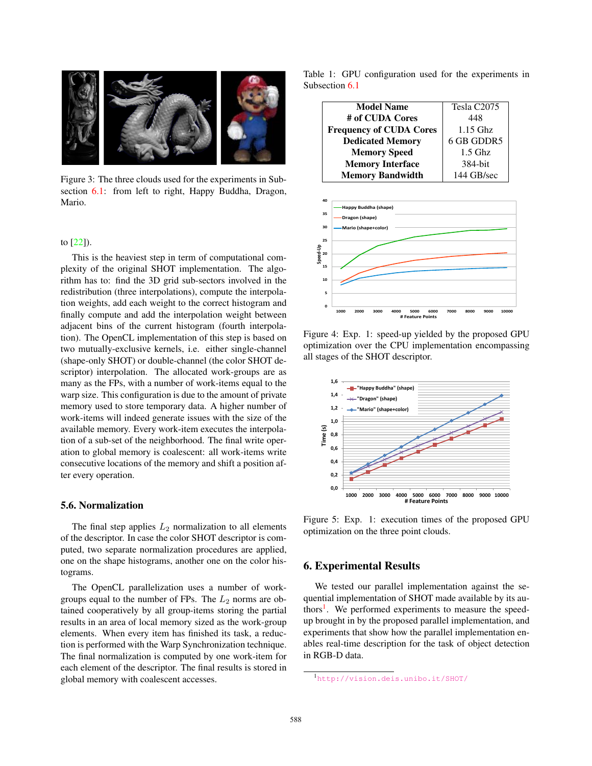

Figure 3: The three clouds used for the experiments in Subsection 6.1: from left to right, Happy Buddha, Dragon, Mario.

to [22]).

This is the heaviest step in term of computational complexity of the original SHOT implementation. The algorithm has to: find the 3D grid sub-sectors involved in the redistribution (three interpolations), compute the interpolation weights, add each weight to the correct histogram and finally compute and add the interpolation weight between adjacent bins of the current histogram (fourth interpolation). The OpenCL implementation of this step is based on two mutually-exclusive kernels, i.e. either single-channel (shape-only SHOT) or double-channel (the color SHOT descriptor) interpolation. The allocated work-groups are as many as the FPs, with a number of work-items equal to the warp size. This configuration is due to the amount of private memory used to store temporary data. A higher number of work-items will indeed generate issues with the size of the available memory. Every work-item executes the interpolation of a sub-set of the neighborhood. The final write operation to global memory is coalescent: all work-items write consecutive locations of the memory and shift a position after every operation.

# 5.6. Normalization

The final step applies  $L_2$  normalization to all elements of the descriptor. In case the color SHOT descriptor is computed, two separate normalization procedures are applied, one on the shape histograms, another one on the color histograms.

The OpenCL parallelization uses a number of workgroups equal to the number of FPs. The  $L_2$  norms are obtained cooperatively by all group-items storing the partial results in an area of local memory sized as the work-group elements. When every item has finished its task, a reduction is performed with the Warp Synchronization technique. The final normalization is computed by one work-item for each element of the descriptor. The final results is stored in global memory with coalescent accesses.

Table 1: GPU configuration used for the experiments in Subsection 6.1

| <b>Model Name</b>              | Tesla C2075 |
|--------------------------------|-------------|
| # of CUDA Cores                | 448         |
| <b>Frequency of CUDA Cores</b> | $1.15$ Ghz  |
| <b>Dedicated Memory</b>        | 6 GB GDDR5  |
| <b>Memory Speed</b>            | $1.5$ Ghz   |
| <b>Memory Interface</b>        | 384-bit     |
| <b>Memory Bandwidth</b>        | 144 GB/sec  |



Figure 4: Exp. 1: speed-up yielded by the proposed GPU optimization over the CPU implementation encompassing all stages of the SHOT descriptor.



Figure 5: Exp. 1: execution times of the proposed GPU optimization on the three point clouds.

### 6. Experimental Results

We tested our parallel implementation against the sequential implementation of SHOT made available by its authors<sup>1</sup>. We performed experiments to measure the speedup brought in by the proposed parallel implementation, and experiments that show how the parallel implementation enables real-time description for the task of object detection in RGB-D data.

<sup>1</sup>http://vision.deis.unibo.it/SHOT/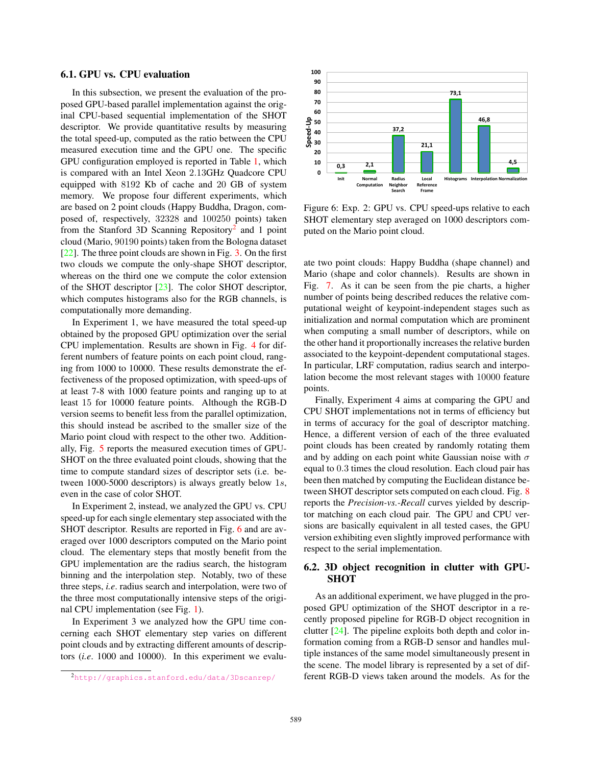## 6.1. GPU vs. CPU evaluation

In this subsection, we present the evaluation of the proposed GPU-based parallel implementation against the original CPU-based sequential implementation of the SHOT descriptor. We provide quantitative results by measuring the total speed-up, computed as the ratio between the CPU measured execution time and the GPU one. The specific GPU configuration employed is reported in Table 1, which is compared with an Intel Xeon 2.13GHz Quadcore CPU equipped with 8192 Kb of cache and 20 GB of system memory. We propose four different experiments, which are based on 2 point clouds (Happy Buddha, Dragon, composed of, respectively, 32328 and 100250 points) taken from the Stanford 3D Scanning Repository<sup>2</sup> and 1 point cloud (Mario, 90190 points) taken from the Bologna dataset [22]. The three point clouds are shown in Fig. 3. On the first two clouds we compute the only-shape SHOT descriptor, whereas on the third one we compute the color extension of the SHOT descriptor [23]. The color SHOT descriptor, which computes histograms also for the RGB channels, is computationally more demanding.

In Experiment 1, we have measured the total speed-up obtained by the proposed GPU optimization over the serial CPU implementation. Results are shown in Fig. 4 for different numbers of feature points on each point cloud, ranging from 1000 to 10000. These results demonstrate the effectiveness of the proposed optimization, with speed-ups of at least 7-8 with 1000 feature points and ranging up to at least 15 for 10000 feature points. Although the RGB-D version seems to benefit less from the parallel optimization, this should instead be ascribed to the smaller size of the Mario point cloud with respect to the other two. Additionally, Fig. 5 reports the measured execution times of GPU-SHOT on the three evaluated point clouds, showing that the time to compute standard sizes of descriptor sets (i.e. between 1000-5000 descriptors) is always greatly below 1s, even in the case of color SHOT.

In Experiment 2, instead, we analyzed the GPU vs. CPU speed-up for each single elementary step associated with the SHOT descriptor. Results are reported in Fig. 6 and are averaged over 1000 descriptors computed on the Mario point cloud. The elementary steps that mostly benefit from the GPU implementation are the radius search, the histogram binning and the interpolation step. Notably, two of these three steps, *i.e*. radius search and interpolation, were two of the three most computationally intensive steps of the original CPU implementation (see Fig. 1).

In Experiment 3 we analyzed how the GPU time concerning each SHOT elementary step varies on different point clouds and by extracting different amounts of descriptors (*i.e*. 1000 and 10000). In this experiment we evalu-



Figure 6: Exp. 2: GPU vs. CPU speed-ups relative to each SHOT elementary step averaged on 1000 descriptors computed on the Mario point cloud.

ate two point clouds: Happy Buddha (shape channel) and Mario (shape and color channels). Results are shown in Fig. 7. As it can be seen from the pie charts, a higher number of points being described reduces the relative computational weight of keypoint-independent stages such as initialization and normal computation which are prominent when computing a small number of descriptors, while on the other hand it proportionally increases the relative burden associated to the keypoint-dependent computational stages. In particular, LRF computation, radius search and interpolation become the most relevant stages with 10000 feature points.

Finally, Experiment 4 aims at comparing the GPU and CPU SHOT implementations not in terms of efficiency but in terms of accuracy for the goal of descriptor matching. Hence, a different version of each of the three evaluated point clouds has been created by randomly rotating them and by adding on each point white Gaussian noise with  $\sigma$ equal to 0.3 times the cloud resolution. Each cloud pair has been then matched by computing the Euclidean distance between SHOT descriptor sets computed on each cloud. Fig. 8 reports the *Precision-vs.-Recall* curves yielded by descriptor matching on each cloud pair. The GPU and CPU versions are basically equivalent in all tested cases, the GPU version exhibiting even slightly improved performance with respect to the serial implementation.

### 6.2. 3D object recognition in clutter with GPU-SHOT

As an additional experiment, we have plugged in the proposed GPU optimization of the SHOT descriptor in a recently proposed pipeline for RGB-D object recognition in clutter [24]. The pipeline exploits both depth and color information coming from a RGB-D sensor and handles multiple instances of the same model simultaneously present in the scene. The model library is represented by a set of different RGB-D views taken around the models. As for the

<sup>2</sup>http://graphics.stanford.edu/data/3Dscanrep/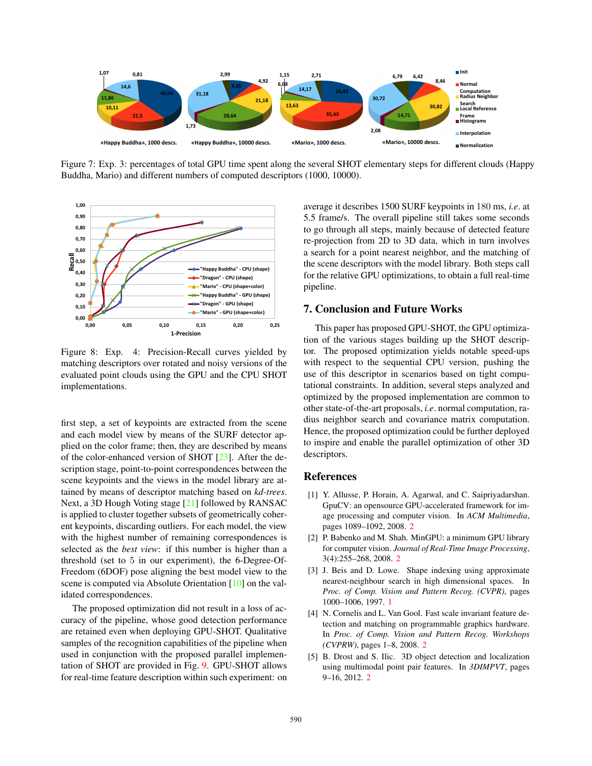

Figure 7: Exp. 3: percentages of total GPU time spent along the several SHOT elementary steps for different clouds (Happy Buddha, Mario) and different numbers of computed descriptors (1000, 10000).



Figure 8: Exp. 4: Precision-Recall curves yielded by matching descriptors over rotated and noisy versions of the evaluated point clouds using the GPU and the CPU SHOT implementations.

first step, a set of keypoints are extracted from the scene and each model view by means of the SURF detector applied on the color frame; then, they are described by means of the color-enhanced version of SHOT [23]. After the description stage, point-to-point correspondences between the scene keypoints and the views in the model library are attained by means of descriptor matching based on *kd-trees*. Next, a 3D Hough Voting stage [21] followed by RANSAC is applied to cluster together subsets of geometrically coherent keypoints, discarding outliers. For each model, the view with the highest number of remaining correspondences is selected as the *best view*: if this number is higher than a threshold (set to 5 in our experiment), the 6-Degree-Of-Freedom (6DOF) pose aligning the best model view to the scene is computed via Absolute Orientation [10] on the validated correspondences.

The proposed optimization did not result in a loss of accuracy of the pipeline, whose good detection performance are retained even when deploying GPU-SHOT. Qualitative samples of the recognition capabilities of the pipeline when used in conjunction with the proposed parallel implementation of SHOT are provided in Fig. 9. GPU-SHOT allows for real-time feature description within such experiment: on

average it describes 1500 SURF keypoints in 180 ms, *i.e*. at 5.5 frame/s. The overall pipeline still takes some seconds to go through all steps, mainly because of detected feature re-projection from 2D to 3D data, which in turn involves a search for a point nearest neighbor, and the matching of the scene descriptors with the model library. Both steps call for the relative GPU optimizations, to obtain a full real-time pipeline.

# 7. Conclusion and Future Works

This paper has proposed GPU-SHOT, the GPU optimization of the various stages building up the SHOT descriptor. The proposed optimization yields notable speed-ups with respect to the sequential CPU version, pushing the use of this descriptor in scenarios based on tight computational constraints. In addition, several steps analyzed and optimized by the proposed implementation are common to other state-of-the-art proposals, *i.e*. normal computation, radius neighbor search and covariance matrix computation. Hence, the proposed optimization could be further deployed to inspire and enable the parallel optimization of other 3D descriptors.

## References

- [1] Y. Allusse, P. Horain, A. Agarwal, and C. Saipriyadarshan. GpuCV: an opensource GPU-accelerated framework for image processing and computer vision. In *ACM Multimedia*, pages 1089–1092, 2008. 2
- [2] P. Babenko and M. Shah. MinGPU: a minimum GPU library for computer vision. *Journal of Real-Time Image Processing*, 3(4):255–268, 2008. 2
- [3] J. Beis and D. Lowe. Shape indexing using approximate nearest-neighbour search in high dimensional spaces. In *Proc. of Comp. Vision and Pattern Recog. (CVPR)*, pages 1000–1006, 1997. 1
- [4] N. Cornelis and L. Van Gool. Fast scale invariant feature detection and matching on programmable graphics hardware. In *Proc. of Comp. Vision and Pattern Recog. Workshops (CVPRW)*, pages 1–8, 2008. 2
- [5] B. Drost and S. Ilic. 3D object detection and localization using multimodal point pair features. In *3DIMPVT*, pages 9–16, 2012. 2